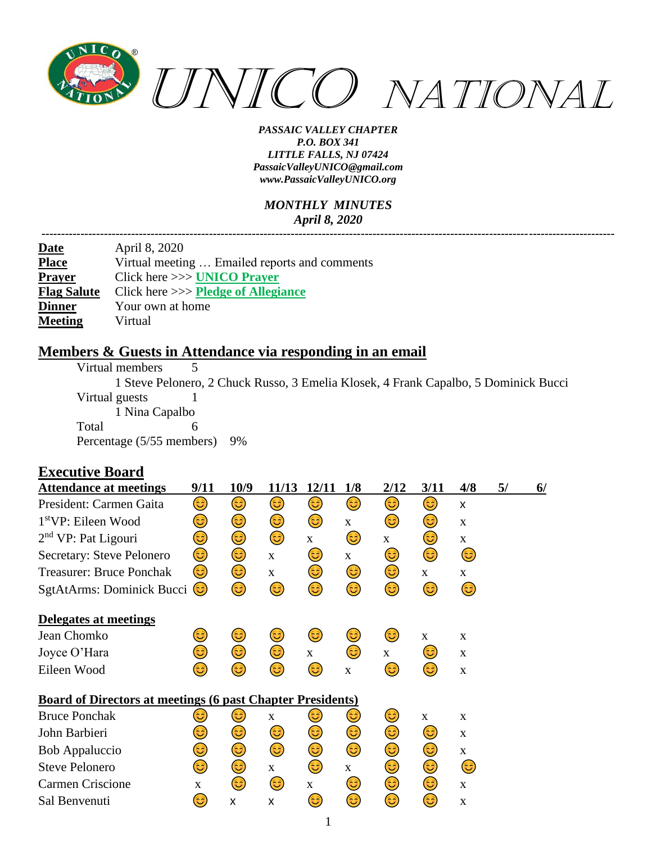

#### *MONTHLY MINUTES April 8, 2020*

| April 8, 2020                                 |
|-----------------------------------------------|
| Virtual meeting  Emailed reports and comments |
| Click here $\gg$ UNICO Prayer                 |
| Click here $\gg$ Pledge of Allegiance         |
| Your own at home                              |
| Virtual                                       |
|                                               |

#### **Members & Guests in Attendance via responding in an email**

| Virtual members           |                                                                                     |
|---------------------------|-------------------------------------------------------------------------------------|
|                           | 1 Steve Pelonero, 2 Chuck Russo, 3 Emelia Klosek, 4 Frank Capalbo, 5 Dominick Bucci |
| Virtual guests            |                                                                                     |
| 1 Nina Capalbo            |                                                                                     |
| Total                     |                                                                                     |
| Percentage (5/55 members) | 9%                                                                                  |

### **Executive Board**

| <b>Attendance at meetings</b>                                     | 9/11        | 10/9 | 11/13        | 12/11        | 1/8          | 2/12         | 3/11         | 4/8          | 5/ | $\frac{6}{ }$ |
|-------------------------------------------------------------------|-------------|------|--------------|--------------|--------------|--------------|--------------|--------------|----|---------------|
| President: Carmen Gaita                                           | ٢           | 3)   | ٢            | ٢            | ٢            | ٢            | ٢            | x            |    |               |
| 1 <sup>st</sup> VP: Eileen Wood                                   | 3           | 3)   | ٢            | ٢            | $\mathbf X$  | 3)           | 3)           | $\mathbf X$  |    |               |
| 2 <sup>nd</sup> VP: Pat Ligouri                                   | ☺           | ٢    | ٢            | $\mathbf{X}$ | 3)           | $\mathbf{X}$ | ٢            | $\mathbf X$  |    |               |
| Secretary: Steve Pelonero                                         | ٢           | ٢    | $\mathbf{X}$ | 3)           | $\mathbf{X}$ | 3)           | ٢            | 3)           |    |               |
| <b>Treasurer: Bruce Ponchak</b>                                   | 3)          | 3    | X            | 3)           | ٢            | 3)           | $\mathbf{X}$ | $\mathbf{X}$ |    |               |
| SgtAtArms: Dominick Bucci                                         | (3          | 3    | ٤            | ☺            | ٢            | 3            | ٢            | 6            |    |               |
| Delegates at meetings                                             |             |      |              |              |              |              |              |              |    |               |
| Jean Chomko                                                       | 3           | 3    | 3)           | 3)           | 3)           | 3)           | $\mathbf{X}$ | X            |    |               |
| Joyce O'Hara                                                      | ☺           | 3)   | ٢            | $\mathbf{X}$ | 3            | $\mathbf{X}$ | 3)           | $\mathbf X$  |    |               |
| Eileen Wood                                                       | 3           | 3    | 3            | 6            | $\mathbf X$  | 3            | 3            | $\mathbf X$  |    |               |
| <b>Board of Directors at meetings (6 past Chapter Presidents)</b> |             |      |              |              |              |              |              |              |    |               |
| <b>Bruce Ponchak</b>                                              | ٢           | 3)   | $\mathbf{X}$ | ٢            | 3)           | 3)           | X            | X            |    |               |
| John Barbieri                                                     | ٢           | ٢    | 3)           | ٢            | ٢            | ٢            | 3)           | X            |    |               |
| <b>Bob Appaluccio</b>                                             | ٢           | ٢    | ٢            | ٢            | 3            | ٢            | ٢            | $\mathbf X$  |    |               |
| <b>Steve Pelonero</b>                                             | 3           | ٢    | $\mathbf{X}$ | ٢            | $\mathbf{X}$ | ٢            | 3            | 3)           |    |               |
| Carmen Criscione                                                  | $\mathbf X$ | 3)   | 3)           | $\mathbf{X}$ | 3)           | 3)           | 3)           | X            |    |               |
| Sal Benvenuti                                                     | ಟ           | x    | x            | ಟ            | 3            | 3            | 3            | $\mathbf X$  |    |               |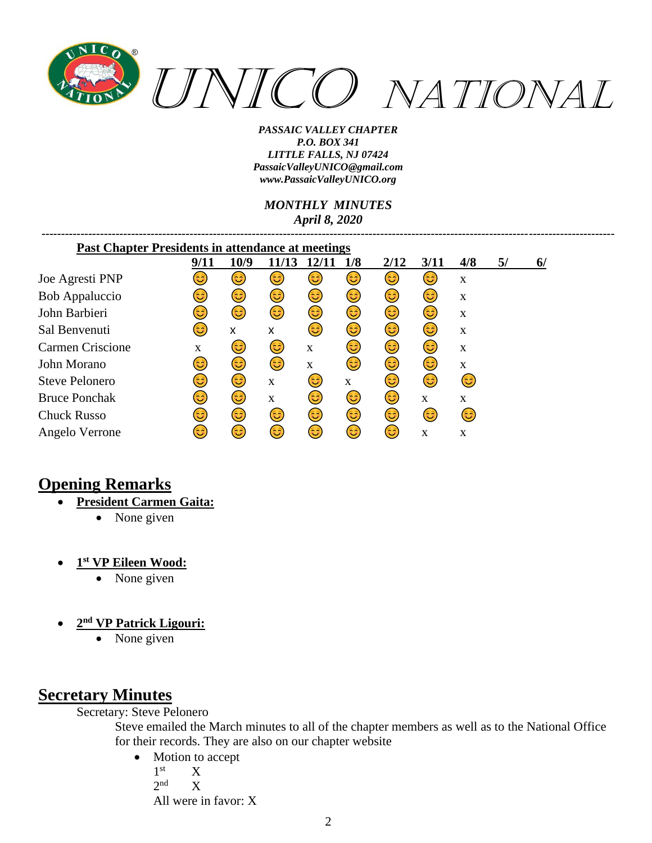

*MONTHLY MINUTES April 8, 2020*

*---------------------------------------------------------------------------------------------------------------------------------------------------*

| <b>Past Chapter Presidents in attendance at meetings</b> |      |      |       |       |     |      |      |              |    |    |
|----------------------------------------------------------|------|------|-------|-------|-----|------|------|--------------|----|----|
|                                                          | 9/11 | 10/9 | 11/13 | 12/11 | 1/8 | 2/12 | 3/11 | 4/8          | 5/ | 6/ |
| Joe Agresti PNP                                          | فأ   | 3    | 3     | ಡಿ    | 3)  | 3    | 3    | X            |    |    |
| <b>Bob Appaluccio</b>                                    | 3    | ಡಿ   | 3     | ಡಿ    | 3   | 3    | ಟ    | X            |    |    |
| John Barbieri                                            | 3    | 3    | 3     | 3     | 3   | 3    | 3    | X            |    |    |
| Sal Benvenuti                                            | ಄)   | X    | X     | 3     | 3   | 3    | 3    | X            |    |    |
| Carmen Criscione                                         | X    | ಡಿ   | 3     | X     | ದಿ  | 63   | 63)  | X            |    |    |
| John Morano                                              | 3    | 6    | 3     | X     | 63) | 63   | 3)   | X            |    |    |
| <b>Steve Pelonero</b>                                    | 3    | 3    | X     | 3     | X   | 3    | 3    | ಡಿ           |    |    |
| <b>Bruce Ponchak</b>                                     | ಡಿ   | 3    | X     | ಡಿ    | 63) | 3    | X    | $\mathbf{x}$ |    |    |
| <b>Chuck Russo</b>                                       | ಄)   | 6    | 3     | 3     | 3   | 63)  | 63   | 3            |    |    |
| Angelo Verrone                                           | ಡಿ   | 63   | 3     | ದಿ    | 63) | 6    | X    | X            |    |    |

## **Opening Remarks**

- **President Carmen Gaita:**
	- None given
- **1 st VP Eileen Wood:**
	- None given
- **2 nd VP Patrick Ligouri:**
	- None given

# **Secretary Minutes**

Secretary: Steve Pelonero

Steve emailed the March minutes to all of the chapter members as well as to the National Office for their records. They are also on our chapter website

• Motion to accept  $1<sup>st</sup>$  $X$  $2<sub>nd</sub>$  $\bar{X}$ All were in favor: X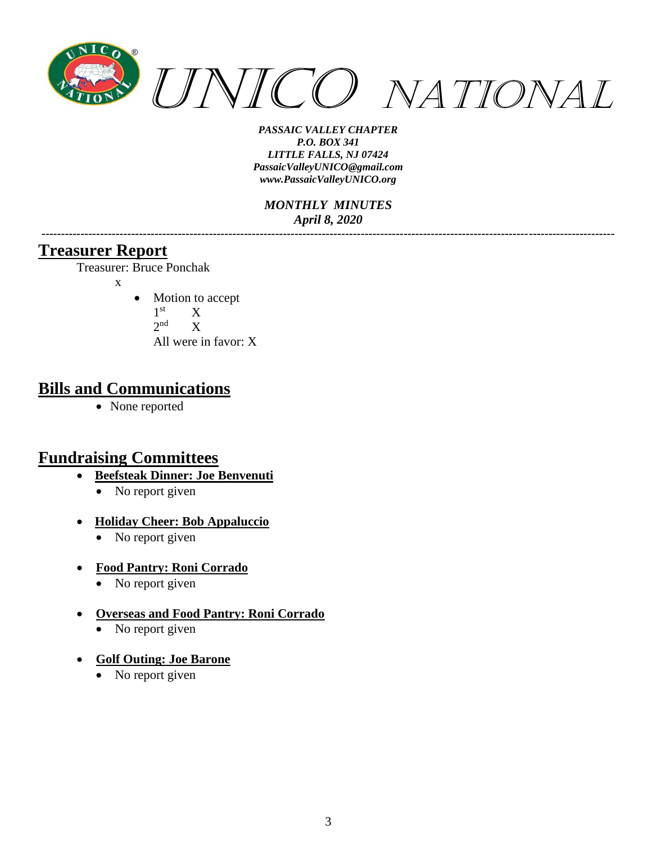

*MONTHLY MINUTES April 8, 2020*

*---------------------------------------------------------------------------------------------------------------------------------------------------*

### **Treasurer Report**

Treasurer: Bruce Ponchak

- x
- Motion to accept
	- $1<sup>st</sup>$  $X$
	- $2<sup>nd</sup>$  X

All were in favor: X

### **Bills and Communications**

• None reported

## **Fundraising Committees**

- **Beefsteak Dinner: Joe Benvenuti**
	- No report given
- **Holiday Cheer: Bob Appaluccio**
	- No report given
- **Food Pantry: Roni Corrado**
	- No report given
- **Overseas and Food Pantry: Roni Corrado**
	- No report given
- **Golf Outing: Joe Barone**
	- No report given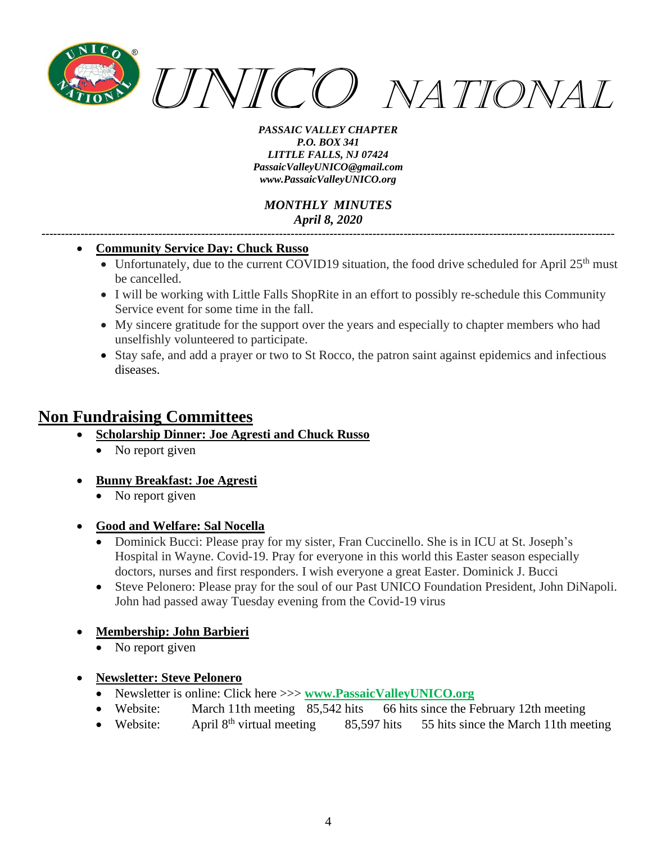

*MONTHLY MINUTES April 8, 2020*

*---------------------------------------------------------------------------------------------------------------------------------------------------*

#### • **Community Service Day: Chuck Russo**

- Unfortunately, due to the current COVID19 situation, the food drive scheduled for April  $25<sup>th</sup>$  must be cancelled.
- I will be working with Little Falls ShopRite in an effort to possibly re-schedule this Community Service event for some time in the fall.
- My sincere gratitude for the support over the years and especially to chapter members who had unselfishly volunteered to participate.
- Stay safe, and add a prayer or two to St Rocco, the patron saint against epidemics and infectious diseases.

## **Non Fundraising Committees**

- **Scholarship Dinner: Joe Agresti and Chuck Russo**
	- No report given
- **Bunny Breakfast: Joe Agresti**
	- No report given

• **Good and Welfare: Sal Nocella**

- Dominick Bucci: Please pray for my sister, Fran Cuccinello. She is in ICU at St. Joseph's Hospital in Wayne. Covid-19. Pray for everyone in this world this Easter season especially doctors, nurses and first responders. I wish everyone a great Easter. Dominick J. Bucci
- Steve Pelonero: Please pray for the soul of our Past UNICO Foundation President, John DiNapoli. John had passed away Tuesday evening from the Covid-19 virus

### • **Membership: John Barbieri**

- No report given
- **Newsletter: Steve Pelonero**
	- Newsletter is online: Click here >>> **[www.PassaicV](http://www.passaic/)alleyUNICO.org**
	- Website: March 11th meeting 85,542 hits 66 hits since the February 12th meeting
	- Website: April  $8<sup>th</sup>$  virtual meeting 85,597 hits 55 hits since the March 11th meeting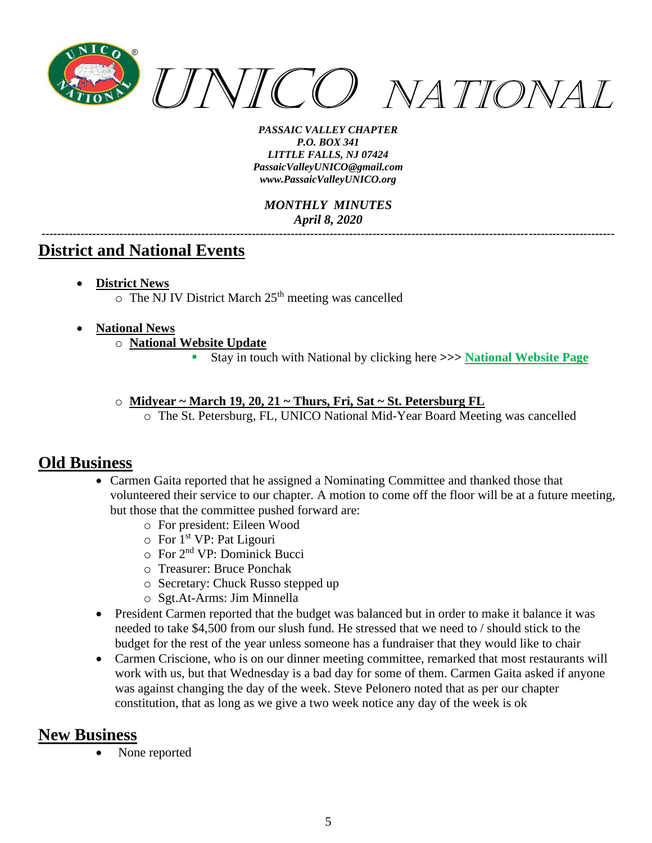

*MONTHLY MINUTES April 8, 2020 ---------------------------------------------------------------------------------------------------------------------------------------------------*

### **District and National Events**

- **District News**
	- $\circ$  The NJ IV District March 25<sup>th</sup> meeting was cancelled

#### • **National News**

- o **National Website Update**
	- Stay in touch with National by clicking here **>>> [National Website Page](http://www.unico.org/)**

#### o **Midyear ~ March 19, 20, 21 ~ Thurs, Fri, Sat ~ St. Petersburg FL**

o The St. Petersburg, FL, UNICO National Mid-Year Board Meeting was cancelled

### **Old Business**

- Carmen Gaita reported that he assigned a Nominating Committee and thanked those that volunteered their service to our chapter. A motion to come off the floor will be at a future meeting, but those that the committee pushed forward are:
	- o For president: Eileen Wood
	- o For 1st VP: Pat Ligouri
	- o For 2nd VP: Dominick Bucci
	- o Treasurer: Bruce Ponchak
	- o Secretary: Chuck Russo stepped up
	- o Sgt.At-Arms: Jim Minnella
- President Carmen reported that the budget was balanced but in order to make it balance it was needed to take \$4,500 from our slush fund. He stressed that we need to / should stick to the budget for the rest of the year unless someone has a fundraiser that they would like to chair
- Carmen Criscione, who is on our dinner meeting committee, remarked that most restaurants will work with us, but that Wednesday is a bad day for some of them. Carmen Gaita asked if anyone was against changing the day of the week. Steve Pelonero noted that as per our chapter constitution, that as long as we give a two week notice any day of the week is ok

### **New Business**

None reported